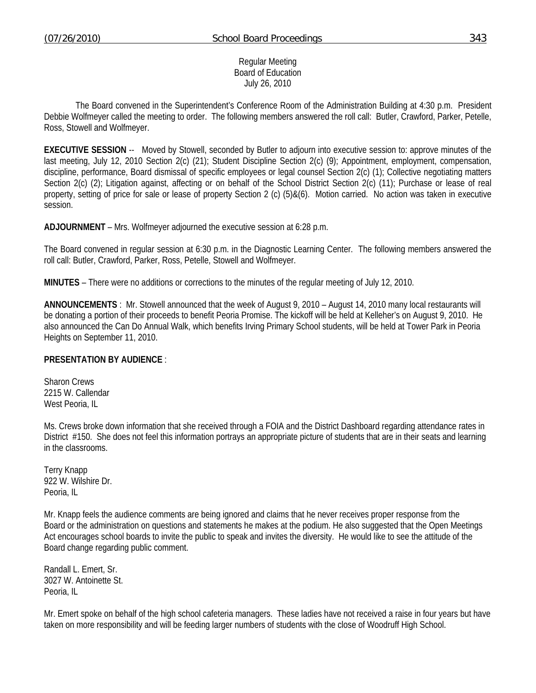Regular Meeting Board of Education July 26, 2010

 The Board convened in the Superintendent's Conference Room of the Administration Building at 4:30 p.m. President Debbie Wolfmeyer called the meeting to order. The following members answered the roll call: Butler, Crawford, Parker, Petelle, Ross, Stowell and Wolfmeyer.

**EXECUTIVE SESSION** -- Moved by Stowell, seconded by Butler to adjourn into executive session to: approve minutes of the last meeting, July 12, 2010 Section 2(c) (21); Student Discipline Section 2(c) (9); Appointment, employment, compensation, discipline, performance, Board dismissal of specific employees or legal counsel Section 2(c) (1); Collective negotiating matters Section 2(c) (2); Litigation against, affecting or on behalf of the School District Section 2(c) (11); Purchase or lease of real property, setting of price for sale or lease of property Section 2 (c) (5)&(6). Motion carried. No action was taken in executive session.

**ADJOURNMENT** – Mrs. Wolfmeyer adjourned the executive session at 6:28 p.m.

The Board convened in regular session at 6:30 p.m. in the Diagnostic Learning Center. The following members answered the roll call: Butler, Crawford, Parker, Ross, Petelle, Stowell and Wolfmeyer.

**MINUTES** – There were no additions or corrections to the minutes of the regular meeting of July 12, 2010.

**ANNOUNCEMENTS** : Mr. Stowell announced that the week of August 9, 2010 – August 14, 2010 many local restaurants will be donating a portion of their proceeds to benefit Peoria Promise. The kickoff will be held at Kelleher's on August 9, 2010. He also announced the Can Do Annual Walk, which benefits Irving Primary School students, will be held at Tower Park in Peoria Heights on September 11, 2010.

#### **PRESENTATION BY AUDIENCE** :

Sharon Crews 2215 W. Callendar West Peoria, IL

Ms. Crews broke down information that she received through a FOIA and the District Dashboard regarding attendance rates in District #150. She does not feel this information portrays an appropriate picture of students that are in their seats and learning in the classrooms.

Terry Knapp 922 W. Wilshire Dr. Peoria, IL

Mr. Knapp feels the audience comments are being ignored and claims that he never receives proper response from the Board or the administration on questions and statements he makes at the podium. He also suggested that the Open Meetings Act encourages school boards to invite the public to speak and invites the diversity. He would like to see the attitude of the Board change regarding public comment.

Randall L. Emert, Sr. 3027 W. Antoinette St. Peoria, IL

Mr. Emert spoke on behalf of the high school cafeteria managers. These ladies have not received a raise in four years but have taken on more responsibility and will be feeding larger numbers of students with the close of Woodruff High School.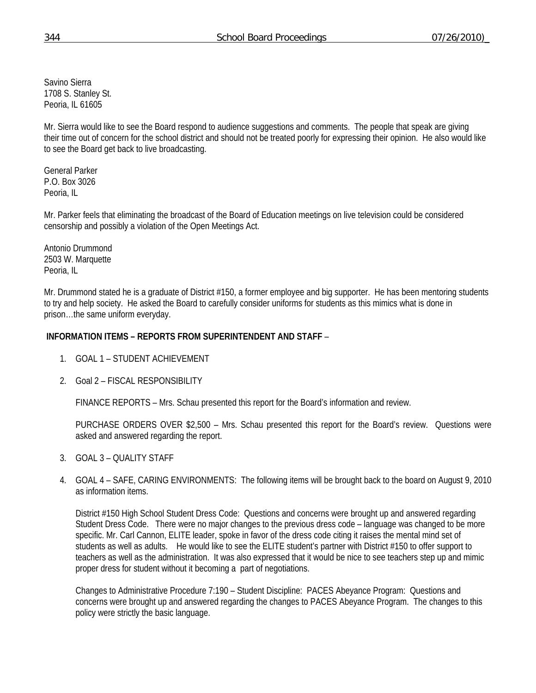Savino Sierra 1708 S. Stanley St. Peoria, IL 61605

Mr. Sierra would like to see the Board respond to audience suggestions and comments. The people that speak are giving their time out of concern for the school district and should not be treated poorly for expressing their opinion. He also would like to see the Board get back to live broadcasting.

General Parker P.O. Box 3026 Peoria, IL

Mr. Parker feels that eliminating the broadcast of the Board of Education meetings on live television could be considered censorship and possibly a violation of the Open Meetings Act.

Antonio Drummond 2503 W. Marquette Peoria, IL

Mr. Drummond stated he is a graduate of District #150, a former employee and big supporter. He has been mentoring students to try and help society. He asked the Board to carefully consider uniforms for students as this mimics what is done in prison…the same uniform everyday.

### **INFORMATION ITEMS – REPORTS FROM SUPERINTENDENT AND STAFF** –

- 1. GOAL 1 STUDENT ACHIEVEMENT
- 2. Goal 2 FISCAL RESPONSIBILITY

FINANCE REPORTS – Mrs. Schau presented this report for the Board's information and review.

 PURCHASE ORDERS OVER \$2,500 – Mrs. Schau presented this report for the Board's review. Questions were asked and answered regarding the report.

- 3. GOAL 3 QUALITY STAFF
- 4. GOAL 4 SAFE, CARING ENVIRONMENTS: The following items will be brought back to the board on August 9, 2010 as information items.

District #150 High School Student Dress Code: Questions and concerns were brought up and answered regarding Student Dress Code. There were no major changes to the previous dress code – language was changed to be more specific. Mr. Carl Cannon, ELITE leader, spoke in favor of the dress code citing it raises the mental mind set of students as well as adults. He would like to see the ELITE student's partner with District #150 to offer support to teachers as well as the administration. It was also expressed that it would be nice to see teachers step up and mimic proper dress for student without it becoming a part of negotiations.

Changes to Administrative Procedure 7:190 – Student Discipline: PACES Abeyance Program: Questions and concerns were brought up and answered regarding the changes to PACES Abeyance Program. The changes to this policy were strictly the basic language.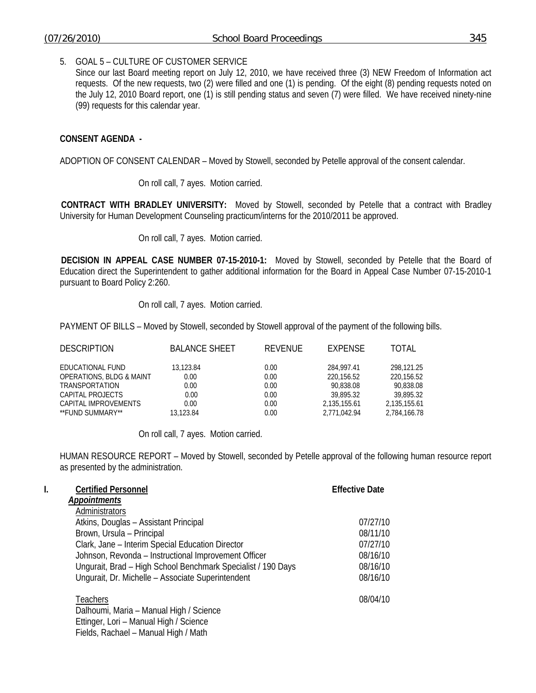#### 5. GOAL 5 – CULTURE OF CUSTOMER SERVICE

Since our last Board meeting report on July 12, 2010, we have received three (3) NEW Freedom of Information act requests. Of the new requests, two (2) were filled and one (1) is pending. Of the eight (8) pending requests noted on the July 12, 2010 Board report, one (1) is still pending status and seven (7) were filled. We have received ninety-nine (99) requests for this calendar year.

### **CONSENT AGENDA -**

ADOPTION OF CONSENT CALENDAR – Moved by Stowell, seconded by Petelle approval of the consent calendar.

On roll call, 7 ayes. Motion carried.

**CONTRACT WITH BRADLEY UNIVERSITY:** Moved by Stowell, seconded by Petelle that a contract with Bradley University for Human Development Counseling practicum/interns for the 2010/2011 be approved.

On roll call, 7 ayes. Motion carried.

**DECISION IN APPEAL CASE NUMBER 07-15-2010-1:** Moved by Stowell, seconded by Petelle that the Board of Education direct the Superintendent to gather additional information for the Board in Appeal Case Number 07-15-2010-1 pursuant to Board Policy 2:260.

On roll call, 7 ayes. Motion carried.

PAYMENT OF BILLS – Moved by Stowell, seconded by Stowell approval of the payment of the following bills.

| <b>DESCRIPTION</b>                  | <b>BALANCE SHEET</b> | REVENUE | <b>EXPENSE</b> | TOTAL        |
|-------------------------------------|----------------------|---------|----------------|--------------|
| EDUCATIONAL FUND                    | 13.123.84            | 0.00    | 284,997.41     | 298.121.25   |
| <b>OPERATIONS, BLDG &amp; MAINT</b> | 0.00                 | 0.00    | 220,156.52     | 220,156.52   |
| <b>TRANSPORTATION</b>               | 0.00                 | 0.00    | 90.838.08      | 90.838.08    |
| CAPITAL PROJECTS                    | 0.00                 | 0.00    | 39,895.32      | 39,895.32    |
| CAPITAL IMPROVEMENTS                | 0.00                 | 0.00    | 2,135,155.61   | 2,135,155.61 |
| **FUND SUMMARY**                    | 13.123.84            | 0.00    | 2.771.042.94   | 2,784,166.78 |

On roll call, 7 ayes. Motion carried.

HUMAN RESOURCE REPORT – Moved by Stowell, seconded by Petelle approval of the following human resource report as presented by the administration.

| I. | <b>Certified Personnel</b>                                                     | <b>Effective Date</b> |
|----|--------------------------------------------------------------------------------|-----------------------|
|    | <b>Appointments</b>                                                            |                       |
|    | Administrators                                                                 |                       |
|    | Atkins, Douglas - Assistant Principal                                          | 07/27/10              |
|    | Brown, Ursula - Principal                                                      | 08/11/10              |
|    | Clark, Jane - Interim Special Education Director                               | 07/27/10              |
|    | Johnson, Revonda - Instructional Improvement Officer                           | 08/16/10              |
|    | Ungurait, Brad - High School Benchmark Specialist / 190 Days                   | 08/16/10              |
|    | Ungurait, Dr. Michelle - Associate Superintendent                              | 08/16/10              |
|    | Teachers<br>Dalhoumi, Maria - Manual High / Science                            | 08/04/10              |
|    | Ettinger, Lori - Manual High / Science<br>Fields, Rachael - Manual High / Math |                       |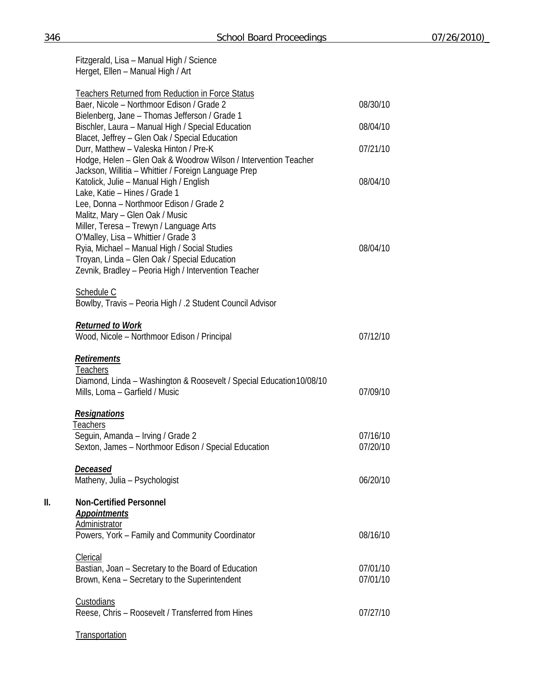|     | Fitzgerald, Lisa - Manual High / Science<br>Herget, Ellen - Manual High / Art                                             |                      |
|-----|---------------------------------------------------------------------------------------------------------------------------|----------------------|
|     | <b>Teachers Returned from Reduction in Force Status</b><br>Baer, Nicole - Northmoor Edison / Grade 2                      | 08/30/10             |
|     | Bielenberg, Jane - Thomas Jefferson / Grade 1<br>Bischler, Laura - Manual High / Special Education                        | 08/04/10             |
|     | Blacet, Jeffrey - Glen Oak / Special Education                                                                            |                      |
|     | Durr, Matthew - Valeska Hinton / Pre-K<br>Hodge, Helen - Glen Oak & Woodrow Wilson / Intervention Teacher                 | 07/21/10             |
|     | Jackson, Willitia - Whittier / Foreign Language Prep<br>Katolick, Julie - Manual High / English                           | 08/04/10             |
|     | Lake, Katie - Hines / Grade 1<br>Lee, Donna - Northmoor Edison / Grade 2                                                  |                      |
|     | Malitz, Mary - Glen Oak / Music<br>Miller, Teresa - Trewyn / Language Arts                                                |                      |
|     | O'Malley, Lisa - Whittier / Grade 3                                                                                       |                      |
|     | Ryia, Michael - Manual High / Social Studies<br>Troyan, Linda - Glen Oak / Special Education                              | 08/04/10             |
|     | Zevnik, Bradley - Peoria High / Intervention Teacher                                                                      |                      |
|     | Schedule C<br>Bowlby, Travis - Peoria High / .2 Student Council Advisor                                                   |                      |
|     | <b>Returned to Work</b><br>Wood, Nicole - Northmoor Edison / Principal                                                    | 07/12/10             |
|     | <b>Retirements</b>                                                                                                        |                      |
|     | <b>Teachers</b><br>Diamond, Linda - Washington & Roosevelt / Special Education 10/08/10<br>Mills, Loma - Garfield / Music | 07/09/10             |
|     | <b>Resignations</b>                                                                                                       |                      |
|     | Teachers                                                                                                                  |                      |
|     | Seguin, Amanda - Irving / Grade 2<br>Sexton, James - Northmoor Edison / Special Education                                 | 07/16/10<br>07/20/10 |
|     | <u>Deceased</u>                                                                                                           |                      |
|     | Matheny, Julia - Psychologist                                                                                             | 06/20/10             |
| II. | <b>Non-Certified Personnel</b><br><b>Appointments</b>                                                                     |                      |
|     | <b>Administrator</b><br>Powers, York - Family and Community Coordinator                                                   | 08/16/10             |
|     | Clerical                                                                                                                  | 07/01/10             |
|     | Bastian, Joan - Secretary to the Board of Education<br>Brown, Kena - Secretary to the Superintendent                      | 07/01/10             |
|     | Custodians                                                                                                                |                      |
|     | Reese, Chris - Roosevelt / Transferred from Hines                                                                         | 07/27/10             |
|     | Transportation                                                                                                            |                      |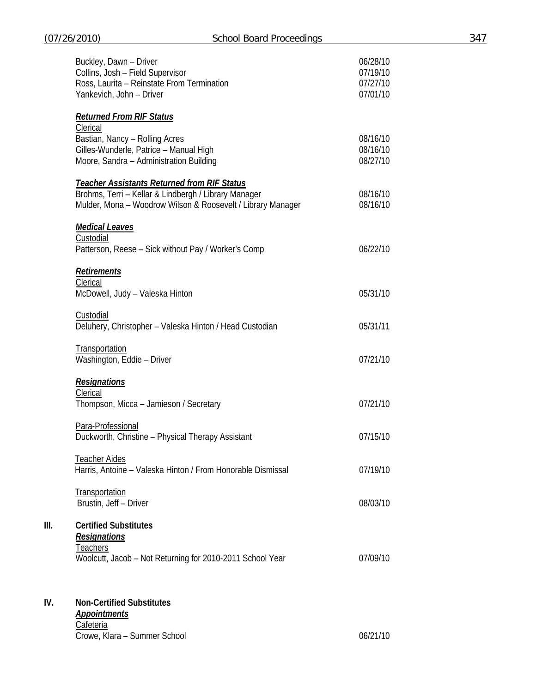|      | Buckley, Dawn - Driver<br>Collins, Josh - Field Supervisor<br>Ross, Laurita - Reinstate From Termination<br>Yankevich, John - Driver                                      | 06/28/10<br>07/19/10<br>07/27/10<br>07/01/10 |
|------|---------------------------------------------------------------------------------------------------------------------------------------------------------------------------|----------------------------------------------|
|      | <b>Returned From RIF Status</b><br>Clerical<br>Bastian, Nancy - Rolling Acres<br>Gilles-Wunderle, Patrice - Manual High<br>Moore, Sandra - Administration Building        | 08/16/10<br>08/16/10<br>08/27/10             |
|      | <b>Teacher Assistants Returned from RIF Status</b><br>Brohms, Terri - Kellar & Lindbergh / Library Manager<br>Mulder, Mona - Woodrow Wilson & Roosevelt / Library Manager | 08/16/10<br>08/16/10                         |
|      | <u>Medical Leaves</u><br>Custodial<br>Patterson, Reese - Sick without Pay / Worker's Comp                                                                                 | 06/22/10                                     |
|      | Retirements<br>Clerical<br>McDowell, Judy - Valeska Hinton                                                                                                                | 05/31/10                                     |
|      | Custodial<br>Deluhery, Christopher - Valeska Hinton / Head Custodian                                                                                                      | 05/31/11                                     |
|      | Transportation<br>Washington, Eddie - Driver                                                                                                                              | 07/21/10                                     |
|      | <b>Resignations</b><br>Clerical<br>Thompson, Micca - Jamieson / Secretary                                                                                                 | 07/21/10                                     |
|      | Para-Professional<br>Duckworth, Christine - Physical Therapy Assistant                                                                                                    | 07/15/10                                     |
|      | <b>Teacher Aides</b><br>Harris, Antoine - Valeska Hinton / From Honorable Dismissal                                                                                       | 07/19/10                                     |
|      | Transportation<br>Brustin, Jeff - Driver                                                                                                                                  | 08/03/10                                     |
| III. | <b>Certified Substitutes</b><br><b>Resignations</b><br>Teachers<br>Woolcutt, Jacob - Not Returning for 2010-2011 School Year                                              | 07/09/10                                     |

# **IV. Non-Certified Substitutes**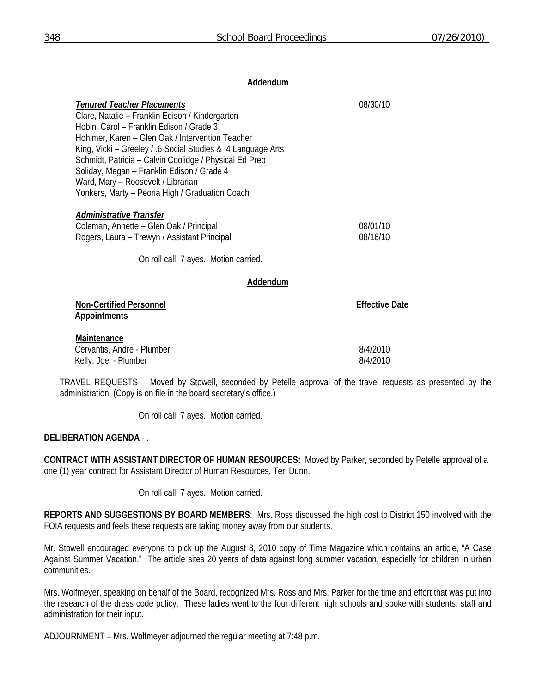### **Addendum**

| <b>Tenured Teacher Placements</b>                                                     | 08/30/10              |
|---------------------------------------------------------------------------------------|-----------------------|
| Clare, Natalie – Franklin Edison / Kindergarten                                       |                       |
| Hobin, Carol - Franklin Edison / Grade 3                                              |                       |
| Hohimer, Karen - Glen Oak / Intervention Teacher                                      |                       |
| King, Vicki – Greeley / .6 Social Studies & .4 Language Arts                          |                       |
| Schmidt, Patricia - Calvin Coolidge / Physical Ed Prep                                |                       |
| Soliday, Megan - Franklin Edison / Grade 4                                            |                       |
| Ward, Mary - Roosevelt / Librarian<br>Yonkers, Marty - Peoria High / Graduation Coach |                       |
|                                                                                       |                       |
| Administrative Transfer                                                               |                       |
| Coleman, Annette – Glen Oak / Principal                                               | 08/01/10              |
| Rogers, Laura – Trewyn / Assistant Principal                                          | 08/16/10              |
|                                                                                       |                       |
| On roll call, 7 ayes. Motion carried.                                                 |                       |
|                                                                                       |                       |
| Addendum                                                                              |                       |
| <b>Non-Certified Personnel</b>                                                        | <b>Effective Date</b> |
| <b>Appointments</b>                                                                   |                       |
|                                                                                       |                       |
| Maintenance                                                                           |                       |
| Cervantis, Andre - Plumber                                                            | 8/4/2010              |

Kelly, Joel - Plumber 8/4/2010

TRAVEL REQUESTS – Moved by Stowell, seconded by Petelle approval of the travel requests as presented by the administration. (Copy is on file in the board secretary's office.)

On roll call, 7 ayes. Motion carried.

## **DELIBERATION AGENDA** - .

**CONTRACT WITH ASSISTANT DIRECTOR OF HUMAN RESOURCES:** Moved by Parker, seconded by Petelle approval of a one (1) year contract for Assistant Director of Human Resources, Teri Dunn.

On roll call, 7 ayes. Motion carried.

**REPORTS AND SUGGESTIONS BY BOARD MEMBERS**: Mrs. Ross discussed the high cost to District 150 involved with the FOIA requests and feels these requests are taking money away from our students.

Mr. Stowell encouraged everyone to pick up the August 3, 2010 copy of Time Magazine which contains an article, "A Case Against Summer Vacation." The article sites 20 years of data against long summer vacation, especially for children in urban communities.

Mrs. Wolfmeyer, speaking on behalf of the Board, recognized Mrs. Ross and Mrs. Parker for the time and effort that was put into the research of the dress code policy. These ladies went to the four different high schools and spoke with students, staff and administration for their input.

ADJOURNMENT – Mrs. Wolfmeyer adjourned the regular meeting at 7:48 p.m.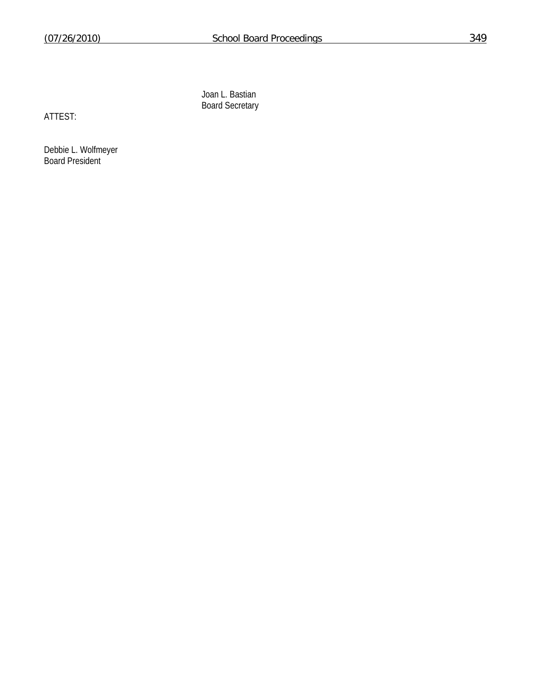Joan L. Bastian Board Secretary

ATTEST:

Debbie L. Wolfmeyer Board President